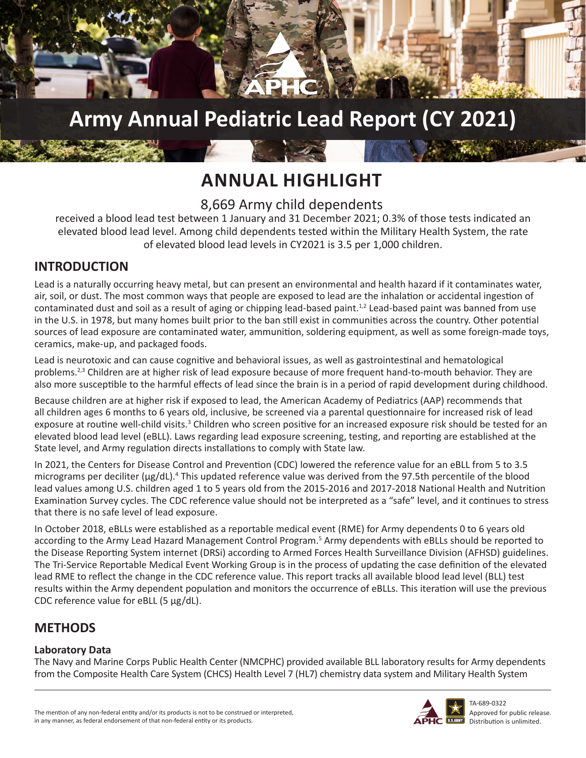

## **Army Annual Pediatric Lead Report (CY 2021)**

## **ANNUAL HIGHLIGHT**

## 8,669 Army child dependents

received a blood lead test between 1 January and 31 December 2021; 0.3% of those tests indicated an elevated blood lead level. Among child dependents tested within the Military Health System, the rate of elevated blood lead levels in CY2021 is 3.5 per 1,000 children.

## **INTRODUCTION**

Lead is a naturally occurring heavy metal, but can present an environmental and health hazard if it contaminates water, air, soil, or dust. The most common ways that people are exposed to lead are the inhalation or accidental ingestion of contaminated dust and soil as a result of aging or chipping lead-based paint.<sup>1,2</sup> Lead-based paint was banned from use in the U.S. in 1978, but many homes built prior to the ban still exist in communities across the country. Other potential sources of lead exposure are contaminated water, ammunition, soldering equipment, as well as some foreign-made toys, ceramics, make-up, and packaged foods.

Lead is neurotoxic and can cause cognitive and behavioral issues, as well as gastrointestinal and hematological problems.<sup>2,3</sup> Children are at higher risk of lead exposure because of more frequent hand-to-mouth behavior. They are also more susceptible to the harmful effects of lead since the brain is in a period of rapid development during childhood.

Because children are at higher risk if exposed to lead, the American Academy of Pediatrics (AAP) recommends that all children ages 6 months to 6 years old, inclusive, be screened via a parental questionnaire for increased risk of lead exposure at routine well-child visits.<sup>3</sup> Children who screen positive for an increased exposure risk should be tested for an elevated blood lead level (eBLL). Laws regarding lead exposure screening, testing, and reporting are established at the State level, and Army regulation directs installations to comply with State law.

In 2021, the Centers for Disease Control and Prevention (CDC) lowered the reference value for an eBLL from 5 to 3.5 micrograms per deciliter ( $\mu$ g/dL).<sup>4</sup> This updated reference value was derived from the 97.5th percentile of the blood lead values among U.S. children aged 1 to 5 years old from the 2015-2016 and 2017-2018 National Health and Nutrition Examination Survey cycles. The CDC reference value should not be interpreted as a "safe" level, and it continues to stress that there is no safe level of lead exposure.

In October 2018, eBLLs were established as a reportable medical event (RME) for Army dependents 0 to 6 years old according to the Army Lead Hazard Management Control Program.<sup>5</sup> Army dependents with eBLLs should be reported to the Disease Reporting System internet (DRSi) according to Armed Forces Health Surveillance Division (AFHSD) guidelines. The Tri-Service Reportable Medical Event Working Group is in the process of updating the case definition of the elevated lead RME to reflect the change in the CDC reference value. This report tracks all available blood lead level (BLL) test results within the Army dependent population and monitors the occurrence of eBLLs. This iteration will use the previous CDC reference value for eBLL (5 µg/dL).

## **METHODS**

### **Laboratory Data**

The Navy and Marine Corps Public Health Center (NMCPHC) provided available BLL laboratory results for Army dependents from the Composite Health Care System (CHCS) Health Level 7 (HL7) chemistry data system and Military Health System



TA-689-0322 Approved for public release. USARMY Distribution is unlimited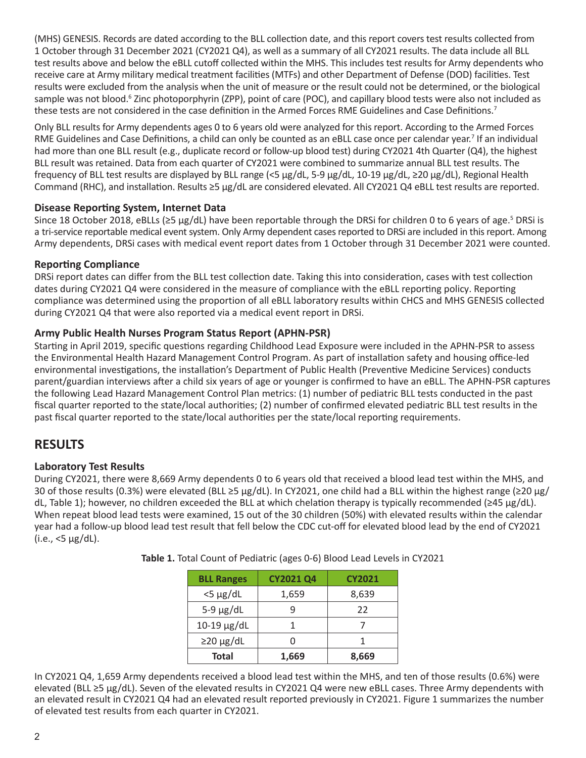(MHS) GENESIS. Records are dated according to the BLL collection date, and this report covers test results collected from 1 October through 31 December 2021 (CY2021 Q4), as well as a summary of all CY2021 results. The data include all BLL test results above and below the eBLL cutoff collected within the MHS. This includes test results for Army dependents who receive care at Army military medical treatment facilities (MTFs) and other Department of Defense (DOD) facilities. Test results were excluded from the analysis when the unit of measure or the result could not be determined, or the biological sample was not blood.<sup>6</sup> Zinc photoporphyrin (ZPP), point of care (POC), and capillary blood tests were also not included as these tests are not considered in the case definition in the Armed Forces RME Guidelines and Case Definitions.<sup>7</sup>

Only BLL results for Army dependents ages 0 to 6 years old were analyzed for this report. According to the Armed Forces RME Guidelines and Case Definitions, a child can only be counted as an eBLL case once per calendar year.<sup>7</sup> If an individual had more than one BLL result (e.g., duplicate record or follow-up blood test) during CY2021 4th Quarter (Q4), the highest BLL result was retained. Data from each quarter of CY2021 were combined to summarize annual BLL test results. The frequency of BLL test results are displayed by BLL range (<5 µg/dL, 5-9 µg/dL, 10-19 µg/dL, ≥20 µg/dL), Regional Health Command (RHC), and installation. Results ≥5 µg/dL are considered elevated. All CY2021 Q4 eBLL test results are reported.

#### **Disease Reporting System, Internet Data**

Since 18 October 2018, eBLLs (≥5 µg/dL) have been reportable through the DRSi for children 0 to 6 years of age.<sup>5</sup> DRSi is a tri-service reportable medical event system. Only Army dependent cases reported to DRSi are included in this report. Among Army dependents, DRSi cases with medical event report dates from 1 October through 31 December 2021 were counted.

#### **Reporting Compliance**

DRSi report dates can differ from the BLL test collection date. Taking this into consideration, cases with test collection dates during CY2021 Q4 were considered in the measure of compliance with the eBLL reporting policy. Reporting compliance was determined using the proportion of all eBLL laboratory results within CHCS and MHS GENESIS collected during CY2021 Q4 that were also reported via a medical event report in DRSi.

#### **Army Public Health Nurses Program Status Report (APHN-PSR)**

Starting in April 2019, specific questions regarding Childhood Lead Exposure were included in the APHN-PSR to assess the Environmental Health Hazard Management Control Program. As part of installation safety and housing office-led environmental investigations, the installation's Department of Public Health (Preventive Medicine Services) conducts parent/guardian interviews after a child six years of age or younger is confirmed to have an eBLL. The APHN-PSR captures the following Lead Hazard Management Control Plan metrics: (1) number of pediatric BLL tests conducted in the past fiscal quarter reported to the state/local authorities; (2) number of confirmed elevated pediatric BLL test results in the past fiscal quarter reported to the state/local authorities per the state/local reporting requirements.

## **RESULTS**

### **Laboratory Test Results**

During CY2021, there were 8,669 Army dependents 0 to 6 years old that received a blood lead test within the MHS, and 30 of those results (0.3%) were elevated (BLL ≥5 µg/dL). In CY2021, one child had a BLL within the highest range (≥20 µg/ dL, Table 1); however, no children exceeded the BLL at which chelation therapy is typically recommended (≥45 µg/dL). When repeat blood lead tests were examined, 15 out of the 30 children (50%) with elevated results within the calendar year had a follow-up blood lead test result that fell below the CDC cut-off for elevated blood lead by the end of CY2021  $(i.e., <5 \mu g/dL)$ .

| <b>BLL Ranges</b> | <b>CY2021 Q4</b> | <b>CY2021</b> |
|-------------------|------------------|---------------|
| $<$ 5 µg/dL       | 1,659            | 8,639         |
| $5-9 \mu g/dL$    |                  | 22            |
| $10-19$ µg/dL     |                  |               |
| $\geq$ 20 µg/dL   |                  |               |
| <b>Total</b>      | 1,669            | 8,669         |

**Table 1.** Total Count of Pediatric (ages 0-6) Blood Lead Levels in CY2021

In CY2021 Q4, 1,659 Army dependents received a blood lead test within the MHS, and ten of those results (0.6%) were elevated (BLL ≥5 µg/dL). Seven of the elevated results in CY2021 Q4 were new eBLL cases. Three Army dependents with an elevated result in CY2021 Q4 had an elevated result reported previously in CY2021. Figure 1 summarizes the number of elevated test results from each quarter in CY2021.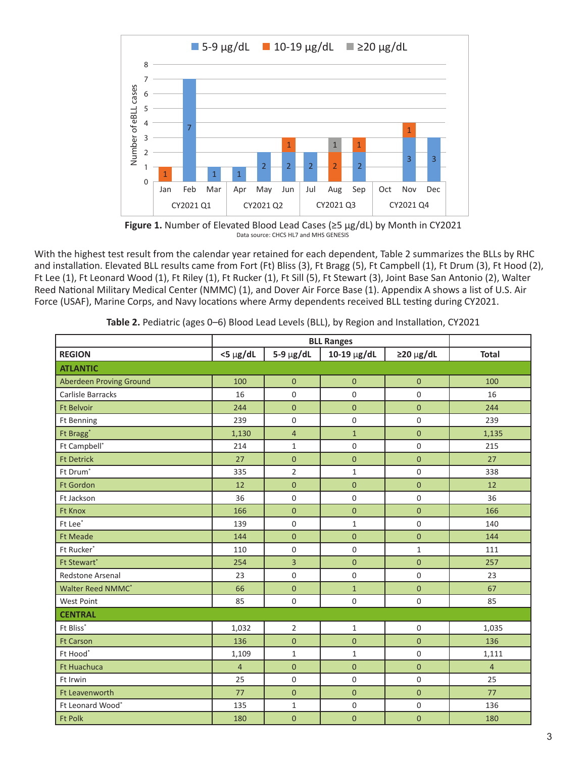

**Figure 1.** Number of Elevated Blood Lead Cases (≥5 µg/dL) by Month in CY2021 Data source: CHCS HL7 and MHS GENESIS

With the highest test result from the calendar year retained for each dependent, Table 2 summarizes the BLLs by RHC and installation. Elevated BLL results came from Fort (Ft) Bliss (3), Ft Bragg (5), Ft Campbell (1), Ft Drum (3), Ft Hood (2), Ft Lee (1), Ft Leonard Wood (1), Ft Riley (1), Ft Rucker (1), Ft Sill (5), Ft Stewart (3), Joint Base San Antonio (2), Walter Reed National Military Medical Center (NMMC) (1), and Dover Air Force Base (1). Appendix A shows a list of U.S. Air Force (USAF), Marine Corps, and Navy locations where Army dependents received BLL testing during CY2021.

|                                | <b>BLL Ranges</b> |                |                  |                     |                |
|--------------------------------|-------------------|----------------|------------------|---------------------|----------------|
| <b>REGION</b>                  | $<$ 5 $\mu$ g/dL  | $5-9 \mu g/dL$ | 10-19 $\mu$ g/dL | $\geq$ 20 µg/dL     | <b>Total</b>   |
| <b>ATLANTIC</b>                |                   |                |                  |                     |                |
| <b>Aberdeen Proving Ground</b> | 100               | $\mathbf{0}$   | $\pmb{0}$        | $\mathbf 0$         | 100            |
| Carlisle Barracks              | 16                | $\Omega$       | 0                | $\mathbf 0$         | 16             |
| <b>Ft Belvoir</b>              | 244               | $\overline{0}$ | $\mathbf 0$      | $\mathbf 0$         | 244            |
| <b>Ft Benning</b>              | 239               | 0              | 0                | $\mathsf{O}\xspace$ | 239            |
| Ft Bragg <sup>*</sup>          | 1,130             | $\overline{4}$ | $\overline{1}$   | $\overline{0}$      | 1,135          |
| Ft Campbell*                   | 214               | $\mathbf{1}$   | $\mathsf 0$      | $\mathbf 0$         | 215            |
| <b>Ft Detrick</b>              | 27                | $\mathbf 0$    | $\mathbf 0$      | $\pmb{0}$           | 27             |
| Ft Drum <sup>*</sup>           | 335               | $\overline{2}$ | $\mathbf{1}$     | $\mathsf{O}\xspace$ | 338            |
| <b>Ft Gordon</b>               | 12                | $\overline{0}$ | $\overline{0}$   | $\overline{0}$      | 12             |
| Ft Jackson                     | 36                | 0              | $\mathbf 0$      | $\mathbf 0$         | 36             |
| <b>Ft Knox</b>                 | 166               | $\overline{0}$ | $\overline{0}$   | $\overline{0}$      | 166            |
| Ft Lee*                        | 139               | 0              | $\mathbf{1}$     | $\mathsf{O}\xspace$ | 140            |
| <b>Ft Meade</b>                | 144               | $\overline{0}$ | $\overline{0}$   | $\overline{0}$      | 144            |
| Ft Rucker*                     | 110               | 0              | 0                | $\mathbf{1}$        | 111            |
| Ft Stewart*                    | 254               | $\overline{3}$ | $\overline{0}$   | $\overline{0}$      | 257            |
| Redstone Arsenal               | 23                | $\mathsf 0$    | $\mathsf 0$      | $\mathsf{O}\xspace$ | 23             |
| Walter Reed NMMC*              | 66                | $\mathbf{0}$   | $\mathbf{1}$     | $\overline{0}$      | 67             |
| <b>West Point</b>              | 85                | 0              | $\mathbf 0$      | $\mathbf 0$         | 85             |
| <b>CENTRAL</b>                 |                   |                |                  |                     |                |
| Ft Bliss*                      | 1,032             | $\overline{2}$ | $\mathbf{1}$     | $\mathsf{O}\xspace$ | 1,035          |
| <b>Ft Carson</b>               | 136               | $\overline{0}$ | $\overline{0}$   | $\overline{0}$      | 136            |
| Ft Hood*                       | 1,109             | $\mathbf{1}$   | $\mathbf{1}$     | 0                   | 1,111          |
| Ft Huachuca                    | $\overline{4}$    | $\overline{0}$ | $\mathbf 0$      | $\mathbf{0}$        | $\overline{4}$ |
| Ft Irwin                       | 25                | 0              | 0                | $\mathsf{O}\xspace$ | 25             |
| Ft Leavenworth                 | 77                | $\overline{0}$ | $\mathbf 0$      | $\pmb{0}$           | 77             |
| Ft Leonard Wood*               | 135               | $\mathbf{1}$   | 0                | $\mathbf 0$         | 136            |
| <b>Ft Polk</b>                 | 180               | $\overline{0}$ | $\overline{0}$   | $\mathbf 0$         | 180            |

**Table 2.** Pediatric (ages 0–6) Blood Lead Levels (BLL), by Region and Installation, CY2021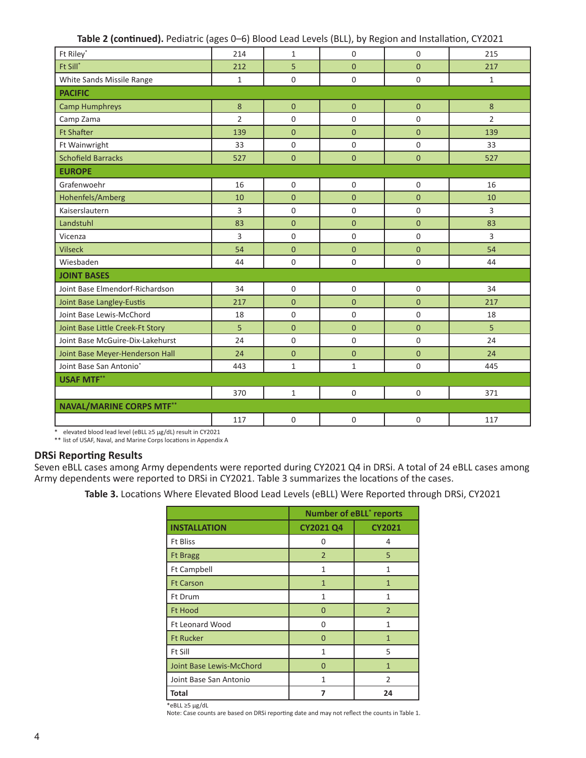| Table 2 (continued). Pediatric (ages 0-6) Blood Lead Levels (BLL), by Region and Installation, CY2021 |  |
|-------------------------------------------------------------------------------------------------------|--|
|-------------------------------------------------------------------------------------------------------|--|

| Ft Riley*                        | 214            | $\mathbf{1}$ | 0                   | $\Omega$       | 215            |
|----------------------------------|----------------|--------------|---------------------|----------------|----------------|
| Ft Sill*                         | 212            | 5            | $\overline{0}$      | $\overline{0}$ | 217            |
| White Sands Missile Range        | $\mathbf{1}$   | $\Omega$     | 0                   | 0              | $\mathbf{1}$   |
| <b>PACIFIC</b>                   |                |              |                     |                |                |
| <b>Camp Humphreys</b>            | 8              | $\mathbf{0}$ | $\overline{0}$      | $\overline{0}$ | 8              |
| Camp Zama                        | $\overline{2}$ | $\mathsf 0$  | $\mathbf 0$         | $\mathbf 0$    | $\overline{2}$ |
| <b>Ft Shafter</b>                | 139            | $\mathbf{0}$ | $\overline{0}$      | $\overline{0}$ | 139            |
| Ft Wainwright                    | 33             | $\mathbf 0$  | $\mathsf{O}\xspace$ | $\mathsf 0$    | 33             |
| <b>Schofield Barracks</b>        | 527            | $\mathbf{0}$ | $\overline{0}$      | $\overline{0}$ | 527            |
| <b>EUROPE</b>                    |                |              |                     |                |                |
| Grafenwoehr                      | 16             | $\mathbf 0$  | $\mathbf 0$         | 0              | 16             |
| Hohenfels/Amberg                 | 10             | $\mathbf{0}$ | $\overline{0}$      | $\overline{0}$ | 10             |
| Kaiserslautern                   | 3              | $\mathbf 0$  | $\mathbf 0$         | $\mathbf 0$    | 3              |
| Landstuhl                        | 83             | $\mathbf{0}$ | $\overline{0}$      | $\overline{0}$ | 83             |
| Vicenza                          | 3              | $\Omega$     | $\mathbf 0$         | $\mathbf 0$    | 3              |
| <b>Vilseck</b>                   | 54             | $\mathbf{0}$ | $\overline{0}$      | $\overline{0}$ | 54             |
| Wiesbaden                        | 44             | $\Omega$     | $\mathbf 0$         | 0              | 44             |
| <b>JOINT BASES</b>               |                |              |                     |                |                |
| Joint Base Elmendorf-Richardson  | 34             | $\Omega$     | $\mathbf 0$         | 0              | 34             |
| Joint Base Langley-Eustis        | 217            | $\mathbf{0}$ | $\overline{0}$      | $\overline{0}$ | 217            |
| Joint Base Lewis-McChord         | 18             | $\Omega$     | 0                   | 0              | 18             |
| Joint Base Little Creek-Ft Story | 5              | $\mathbf{0}$ | $\overline{0}$      | $\overline{0}$ | 5              |
| Joint Base McGuire-Dix-Lakehurst | 24             | $\mathbf 0$  | $\mathbf 0$         | 0              | 24             |
| Joint Base Meyer-Henderson Hall  | 24             | $\mathbf{0}$ | $\overline{0}$      | $\overline{0}$ | 24             |
| Joint Base San Antonio*          | 443            | $\mathbf{1}$ | $\mathbf 1$         | $\mathbf 0$    | 445            |
| <b>USAF MTF**</b>                |                |              |                     |                |                |
|                                  | 370            | $\mathbf{1}$ | $\mathbf 0$         | $\mathbf 0$    | 371            |
| <b>NAVAL/MARINE CORPS MTF**</b>  |                |              |                     |                |                |
|                                  | 117            | $\mathbf 0$  | $\mathbf 0$         | 0              | 117            |

\* elevated blood lead level (eBLL ≥5 µg/dL) result in CY2021 \*\* list of USAF, Naval, and Marine Corps locations in Appendix A

#### **DRSi Reporting Results**

Seven eBLL cases among Army dependents were reported during CY2021 Q4 in DRSi. A total of 24 eBLL cases among Army dependents were reported to DRSi in CY2021. Table 3 summarizes the locations of the cases.

**Table 3.** Locations Where Elevated Blood Lead Levels (eBLL) Were Reported through DRSi, CY2021

|                          | <b>Number of eBLL<sup>*</sup> reports</b> |                |  |
|--------------------------|-------------------------------------------|----------------|--|
| <b>INSTALLATION</b>      | <b>CY2021 Q4</b>                          | <b>CY2021</b>  |  |
| <b>Ft Bliss</b>          | 0                                         | 4              |  |
| <b>Ft Bragg</b>          | $\overline{2}$                            | 5              |  |
| <b>Ft Campbell</b>       | $\mathbf{1}$                              | $\mathbf{1}$   |  |
| <b>Ft Carson</b>         | $\mathbf{1}$                              | $\mathbf{1}$   |  |
| <b>Ft Drum</b>           | 1                                         | 1              |  |
| <b>Ft Hood</b>           | $\Omega$                                  | $\overline{2}$ |  |
| <b>Ft Leonard Wood</b>   | O                                         | 1              |  |
| <b>Ft Rucker</b>         | $\Omega$                                  | 1              |  |
| Ft Sill                  | 1                                         | 5              |  |
| Joint Base Lewis-McChord | 0                                         | 1              |  |
| Joint Base San Antonio   | 1                                         | $\mathfrak{p}$ |  |
| Total                    | 7                                         | 24             |  |

\*eBLL ≥5 µg/dL

Note: Case counts are based on DRSi reporting date and may not reflect the counts in Table 1.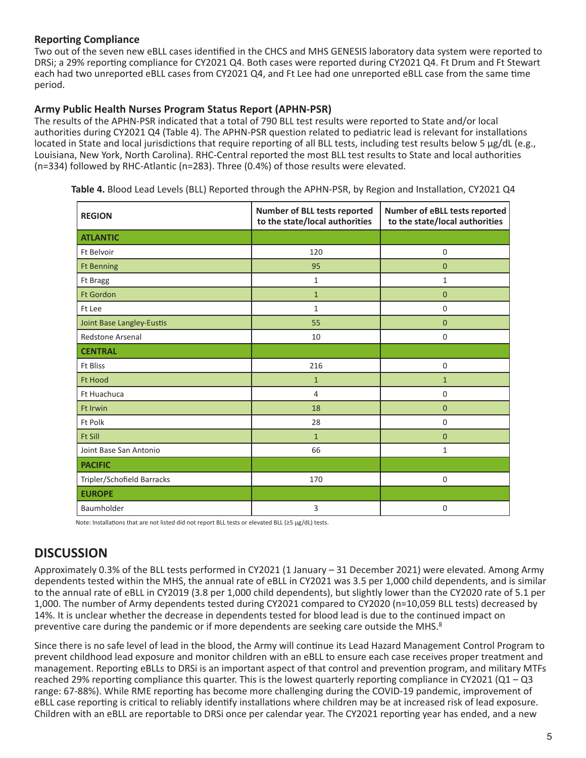#### **Reporting Compliance**

Two out of the seven new eBLL cases identified in the CHCS and MHS GENESIS laboratory data system were reported to DRSi; a 29% reporting compliance for CY2021 Q4. Both cases were reported during CY2021 Q4. Ft Drum and Ft Stewart each had two unreported eBLL cases from CY2021 Q4, and Ft Lee had one unreported eBLL case from the same time period.

#### **Army Public Health Nurses Program Status Report (APHN-PSR)**

The results of the APHN-PSR indicated that a total of 790 BLL test results were reported to State and/or local authorities during CY2021 Q4 (Table 4). The APHN-PSR question related to pediatric lead is relevant for installations located in State and local jurisdictions that require reporting of all BLL tests, including test results below 5 µg/dL (e.g., Louisiana, New York, North Carolina). RHC-Central reported the most BLL test results to State and local authorities (n=334) followed by RHC-Atlantic (n=283). Three (0.4%) of those results were elevated.

| <b>REGION</b>              | Number of BLL tests reported<br>to the state/local authorities | Number of eBLL tests reported<br>to the state/local authorities |  |
|----------------------------|----------------------------------------------------------------|-----------------------------------------------------------------|--|
| <b>ATLANTIC</b>            |                                                                |                                                                 |  |
| <b>Ft Belvoir</b>          | 120                                                            | $\mathbf 0$                                                     |  |
| <b>Ft Benning</b>          | 95                                                             | $\mathbf{0}$                                                    |  |
| Ft Bragg                   | $\mathbf{1}$                                                   | $\mathbf{1}$                                                    |  |
| <b>Ft Gordon</b>           | $\mathbf{1}$                                                   | $\mathbf{0}$                                                    |  |
| Ft Lee                     | $\mathbf{1}$                                                   | 0                                                               |  |
| Joint Base Langley-Eustis  | 55                                                             | $\mathbf{0}$                                                    |  |
| <b>Redstone Arsenal</b>    | 10                                                             | $\mathbf 0$                                                     |  |
| <b>CENTRAL</b>             |                                                                |                                                                 |  |
| <b>Ft Bliss</b>            | 216                                                            | $\mathbf 0$                                                     |  |
| <b>Ft Hood</b>             | $\mathbf{1}$                                                   | $\mathbf{1}$                                                    |  |
| Ft Huachuca                | 4                                                              | $\mathbf 0$                                                     |  |
| <b>Ft Irwin</b>            | 18                                                             | $\mathbf{0}$                                                    |  |
| Ft Polk                    | 28                                                             | 0                                                               |  |
| <b>Ft Sill</b>             | $\mathbf{1}$                                                   | $\mathbf{0}$                                                    |  |
| Joint Base San Antonio     | 66                                                             | 1                                                               |  |
| <b>PACIFIC</b>             |                                                                |                                                                 |  |
| Tripler/Schofield Barracks | 170                                                            | $\mathbf 0$                                                     |  |
| <b>EUROPE</b>              |                                                                |                                                                 |  |
| Baumholder                 | 3                                                              | $\mathbf 0$                                                     |  |

**Table 4.** Blood Lead Levels (BLL) Reported through the APHN-PSR, by Region and Installation, CY2021 Q4

Note: Installations that are not listed did not report BLL tests or elevated BLL (≥5 µg/dL) tests.

## **DISCUSSION**

Approximately 0.3% of the BLL tests performed in CY2021 (1 January – 31 December 2021) were elevated. Among Army dependents tested within the MHS, the annual rate of eBLL in CY2021 was 3.5 per 1,000 child dependents, and is similar to the annual rate of eBLL in CY2019 (3.8 per 1,000 child dependents), but slightly lower than the CY2020 rate of 5.1 per 1,000. The number of Army dependents tested during CY2021 compared to CY2020 (n=10,059 BLL tests) decreased by 14%. It is unclear whether the decrease in dependents tested for blood lead is due to the continued impact on preventive care during the pandemic or if more dependents are seeking care outside the MHS.<sup>8</sup>

Since there is no safe level of lead in the blood, the Army will continue its Lead Hazard Management Control Program to prevent childhood lead exposure and monitor children with an eBLL to ensure each case receives proper treatment and management. Reporting eBLLs to DRSi is an important aspect of that control and prevention program, and military MTFs reached 29% reporting compliance this quarter. This is the lowest quarterly reporting compliance in CY2021 ( $Q1 - Q3$ ) range: 67-88%). While RME reporting has become more challenging during the COVID-19 pandemic, improvement of eBLL case reporting is critical to reliably identify installations where children may be at increased risk of lead exposure. Children with an eBLL are reportable to DRSi once per calendar year. The CY2021 reporting year has ended, and a new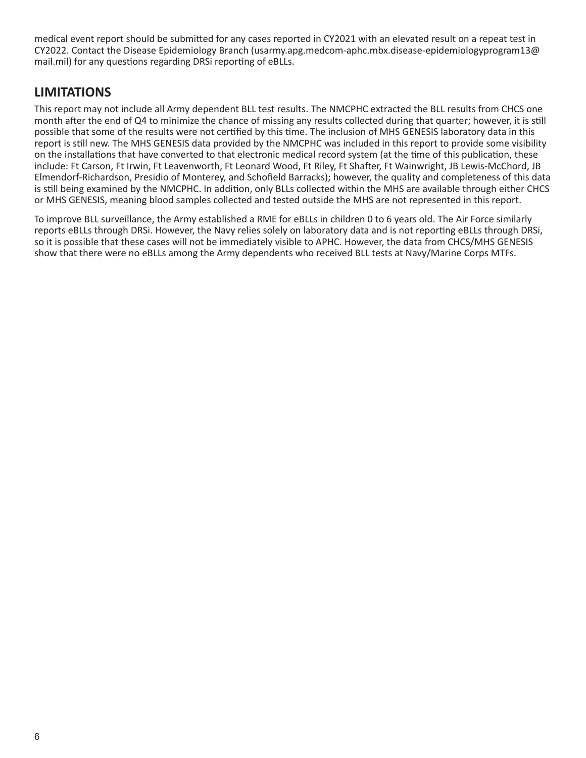medical event report should be submitted for any cases reported in CY2021 with an elevated result on a repeat test in CY2022. Contact the Disease Epidemiology Branch (usarmy.apg.medcom-aphc.mbx.disease-epidemiologyprogram13@ mail.mil) for any questions regarding DRSi reporting of eBLLs.

## **LIMITATIONS**

This report may not include all Army dependent BLL test results. The NMCPHC extracted the BLL results from CHCS one month after the end of Q4 to minimize the chance of missing any results collected during that quarter; however, it is still possible that some of the results were not certified by this time. The inclusion of MHS GENESIS laboratory data in this report is still new. The MHS GENESIS data provided by the NMCPHC was included in this report to provide some visibility on the installations that have converted to that electronic medical record system (at the time of this publication, these include: Ft Carson, Ft Irwin, Ft Leavenworth, Ft Leonard Wood, Ft Riley, Ft Shafter, Ft Wainwright, JB Lewis-McChord, JB Elmendorf-Richardson, Presidio of Monterey, and Schofield Barracks); however, the quality and completeness of this data is still being examined by the NMCPHC. In addition, only BLLs collected within the MHS are available through either CHCS or MHS GENESIS, meaning blood samples collected and tested outside the MHS are not represented in this report.

To improve BLL surveillance, the Army established a RME for eBLLs in children 0 to 6 years old. The Air Force similarly reports eBLLs through DRSi. However, the Navy relies solely on laboratory data and is not reporting eBLLs through DRSi, so it is possible that these cases will not be immediately visible to APHC. However, the data from CHCS/MHS GENESIS show that there were no eBLLs among the Army dependents who received BLL tests at Navy/Marine Corps MTFs.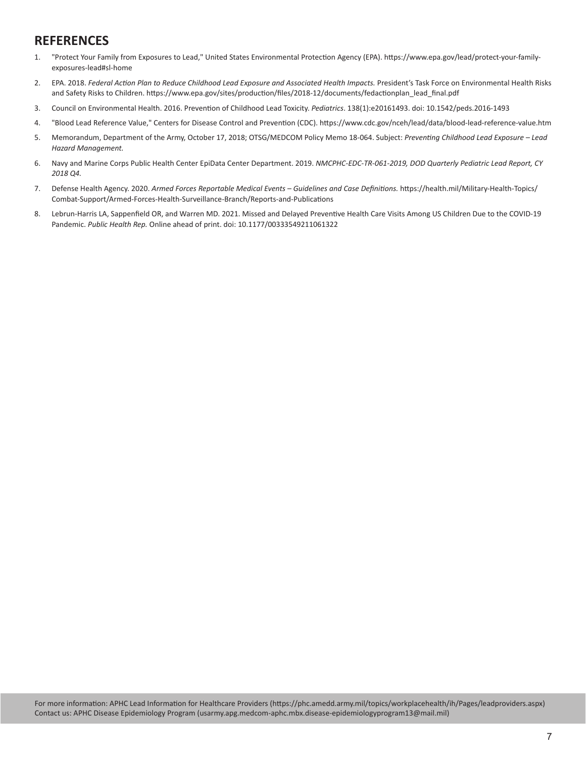## **REFERENCES**

- 1. "Protect Your Family from Exposures to Lead," United States Environmental Protection Agency (EPA). https://www.epa.gov/lead/protect-your-familyexposures-lead#sl-home
- 2. EPA. 2018. *Federal Action Plan to Reduce Childhood Lead Exposure and Associated Health Impacts.* President's Task Force on Environmental Health Risks and Safety Risks to Children. https://www.epa.gov/sites/production/files/2018-12/documents/fedactionplan\_lead\_final.pdf
- 3. Council on Environmental Health. 2016. Prevention of Childhood Lead Toxicity. *Pediatrics*. 138(1):e20161493. doi: 10.1542/peds.2016-1493
- 4. "Blood Lead Reference Value," Centers for Disease Control and Prevention (CDC). https://www.cdc.gov/nceh/lead/data/blood-lead-reference-value.htm
- 5. Memorandum, Department of the Army, October 17, 2018; OTSG/MEDCOM Policy Memo 18-064. Subject: *Preventing Childhood Lead Exposure Lead Hazard Management.*
- 6. Navy and Marine Corps Public Health Center EpiData Center Department. 2019. *NMCPHC-EDC-TR-061-2019, DOD Quarterly Pediatric Lead Report, CY 2018 Q4.*
- 7. Defense Health Agency. 2020. *Armed Forces Reportable Medical Events Guidelines and Case Definitions.* https://health.mil/Military-Health-Topics/ Combat-Support/Armed-Forces-Health-Surveillance-Branch/Reports-and-Publications
- 8. Lebrun-Harris LA, Sappenfield OR, and Warren MD. 2021. Missed and Delayed Preventive Health Care Visits Among US Children Due to the COVID-19 Pandemic. *Public Health Rep.* Online ahead of print. doi: 10.1177/00333549211061322

For more information: APHC Lead Information for Healthcare Providers (https://phc.amedd.army.mil/topics/workplacehealth/ih/Pages/leadproviders.aspx) Contact us: APHC Disease Epidemiology Program (usarmy.apg.medcom-aphc.mbx.disease-epidemiologyprogram13@mail.mil)